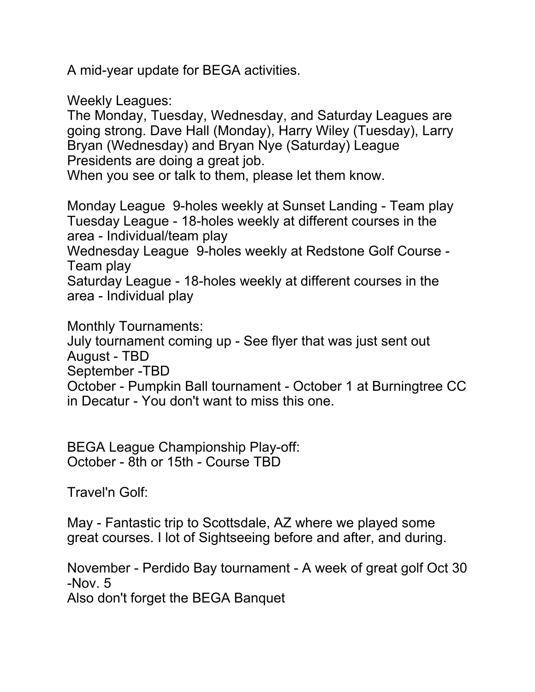A mid-year update for BEGA activities.

Weekly Leagues:

The Monday, Tuesday, Wednesday, and Saturday Leagues are going strong. Dave Hall (Monday), Harry Wiley (Tuesday), Larry Bryan (Wednesday) and Bryan Nye (Saturday) League Presidents are doing a great job.

When you see or talk to them, please let them know.

Monday League 9-holes weekly at Sunset Landing - Team play Tuesday League - 18-holes weekly at different courses in the area - Individual/team play

Wednesday League 9-holes weekly at Redstone Golf Course - Team play

Saturday League - 18-holes weekly at different courses in the area - Individual play

Monthly Tournaments:

July tournament coming up - See flyer that was just sent out August - TBD

September -TBD

October - Pumpkin Ball tournament - October 1 at Burningtree CC in Decatur - You don't want to miss this one.

BEGA League Championship Play-off: October - 8th or 15th - Course TBD

Travel'n Golf:

May - Fantastic trip to Scottsdale, AZ where we played some great courses. I lot of Sightseeing before and after, and during.

November - Perdido Bay tournament - A week of great golf Oct 30 -Nov. 5

Also don't forget the BEGA Banquet